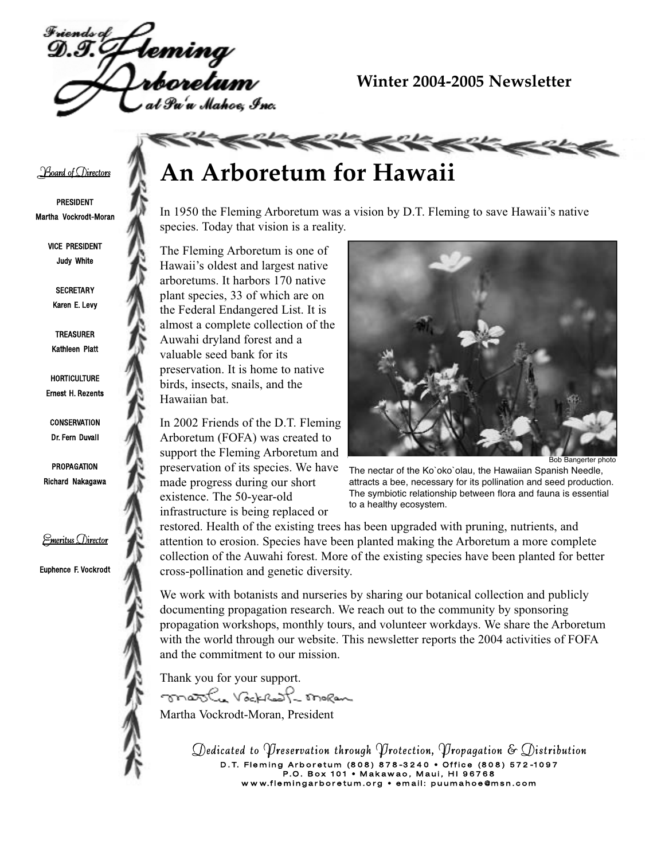

### **Winter 2004-2005 Newsletter**

#### **Board of Directors**

PRESIDENT Martha Vockrodt-Moran

> VICE PRESIDENT Judy White

**SECRETARY** Karen E. Levy

TREASURER Kathleen Platt

**HORTICULTURE** Ernest H. Rezents

**CONSERVATION** Dr. Fern Duvall

PROPAGATION Richard Nakagawa

<u>Emeritus Director</u>

Euphence F. Vockrodt



In 1950 the Fleming Arboretum was a vision by D.T. Fleming to save Hawaii's native species. Today that vision is a reality.

**KKKKKKKKKK** 

The Fleming Arboretum is one of Hawaii's oldest and largest native arboretums. It harbors 170 native plant species, 33 of which are on the Federal Endangered List. It is almost a complete collection of the Auwahi dryland forest and a valuable seed bank for its preservation. It is home to native birds, insects, snails, and the Hawaiian bat.

In 2002 Friends of the D.T. Fleming Arboretum (FOFA) was created to support the Fleming Arboretum and preservation of its species. We have made progress during our short existence. The 50-year-old infrastructure is being replaced or



Bob Bangerter photo

The nectar of the Ko`oko`olau, the Hawaiian Spanish Needle, attracts a bee, necessary for its pollination and seed production. The symbiotic relationship between flora and fauna is essential to a healthy ecosystem.

restored. Health of the existing trees has been upgraded with pruning, nutrients, and attention to erosion. Species have been planted making the Arboretum a more complete collection of the Auwahi forest. More of the existing species have been planted for better cross-pollination and genetic diversity.

We work with botanists and nurseries by sharing our botanical collection and publicly documenting propagation research. We reach out to the community by sponsoring propagation workshops, monthly tours, and volunteer workdays. We share the Arboretum with the world through our website. This newsletter reports the 2004 activities of FOFA and the commitment to our mission.

Thank you for your support.

mosthe Vockhoft moran Martha Vockrodt-Moran, President

> Dedicated to Preservation through Protection, Propagation & Distribution D. T. Fleming Arboretum (808) 878-3240 • Office (808) 572-1097<br>P.O. Box 101 • Makawao, Maui, HI 96768 P .O . B o x 1 0 1 • M a k a w a o , M a u i , H I 9 6 7 6 8 w w w.f l e m i n g a r b o r e t  $m$  .  $\mathcal{S}$   $\mathcal{S}$   $\mathcal{S}$  . Then is p u under the computation is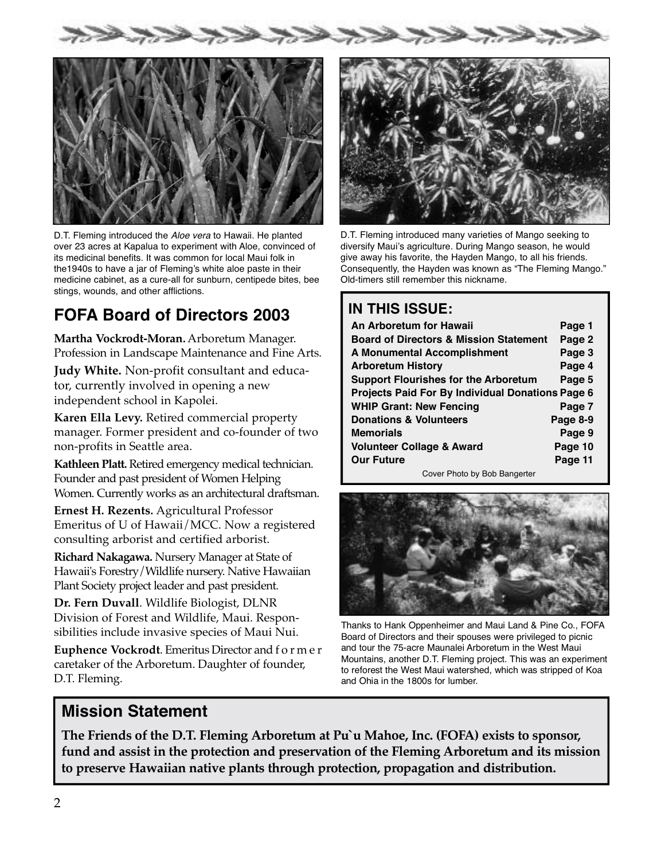



D.T. Fleming introduced the Aloe vera to Hawaii. He planted over 23 acres at Kapalua to experiment with Aloe, convinced of its medicinal benefits. It was common for local Maui folk in the1940s to have a jar of Fleming's white aloe paste in their medicine cabinet, as a cure-all for sunburn, centipede bites, bee stings, wounds, and other afflictions.

## **FOFA Board of Directors 2003**

**Martha Vockrodt-Moran.** Arboretum Manager. Profession in Landscape Maintenance and Fine Arts.

**Judy White.** Non-profit consultant and educator, currently involved in opening a new independent school in Kapolei.

**Karen Ella Levy.** Retired commercial property manager. Former president and co-founder of two non-profits in Seattle area.

Kathleen Platt. Retired emergency medical technician. Founder and past president of Women Helping Women. Currently works as an architectural draftsman.

**Ernest H. Rezents.** Agricultural Professor Emeritus of U of Hawaii/MCC. Now a registered consulting arborist and certified arborist.

**Richard Nakagawa.** Nursery Manager at State of Hawaii's Forestry / Wildlife nursery. Native Hawaiian Plant Society project leader and past president.

**Dr. Fern Duvall**. Wildlife Biologist, DLNR Division of Forest and Wildlife, Maui. Responsibilities include invasive species of Maui Nui.

**Euphence Vockrodt**. Emeritus Director and f o r m e r caretaker of the Arboretum. Daughter of founder, D.T. Fleming.



D.T. Fleming introduced many varieties of Mango seeking to diversify Maui's agriculture. During Mango season, he would give away his favorite, the Hayden Mango, to all his friends. Consequently, the Hayden was known as "The Fleming Mango." Old-timers still remember this nickname.

### **IN THIS ISSUE:**

| An Arboretum for Hawaii                           | Page 1   |  |  |  |  |  |  |
|---------------------------------------------------|----------|--|--|--|--|--|--|
| <b>Board of Directors &amp; Mission Statement</b> | Page 2   |  |  |  |  |  |  |
| A Monumental Accomplishment                       | Page 3   |  |  |  |  |  |  |
| <b>Arboretum History</b>                          | Page 4   |  |  |  |  |  |  |
| <b>Support Flourishes for the Arboretum</b>       | Page 5   |  |  |  |  |  |  |
| Projects Paid For By Individual Donations Page 6  |          |  |  |  |  |  |  |
| <b>WHIP Grant: New Fencing</b>                    | Page 7   |  |  |  |  |  |  |
| <b>Donations &amp; Volunteers</b>                 | Page 8-9 |  |  |  |  |  |  |
| <b>Memorials</b>                                  | Page 9   |  |  |  |  |  |  |
| <b>Volunteer Collage &amp; Award</b>              | Page 10  |  |  |  |  |  |  |
| <b>Our Future</b>                                 | Page 11  |  |  |  |  |  |  |
|                                                   |          |  |  |  |  |  |  |

Cover Photo by Bob Bangerter



Thanks to Hank Oppenheimer and Maui Land & Pine Co., FOFA Board of Directors and their spouses were privileged to picnic and tour the 75-acre Maunalei Arboretum in the West Maui Mountains, another D.T. Fleming project. This was an experiment to reforest the West Maui watershed, which was stripped of Koa and Ohia in the 1800s for lumber.

### **Mission Statement**

**The Friends of the D.T. Fleming Arboretum at Pu`u Mahoe, Inc. (FOFA) exists to sponsor, fund and assist in the protection and preservation of the Fleming Arboretum and its mission to preserve Hawaiian native plants through protection, propagation and distribution.**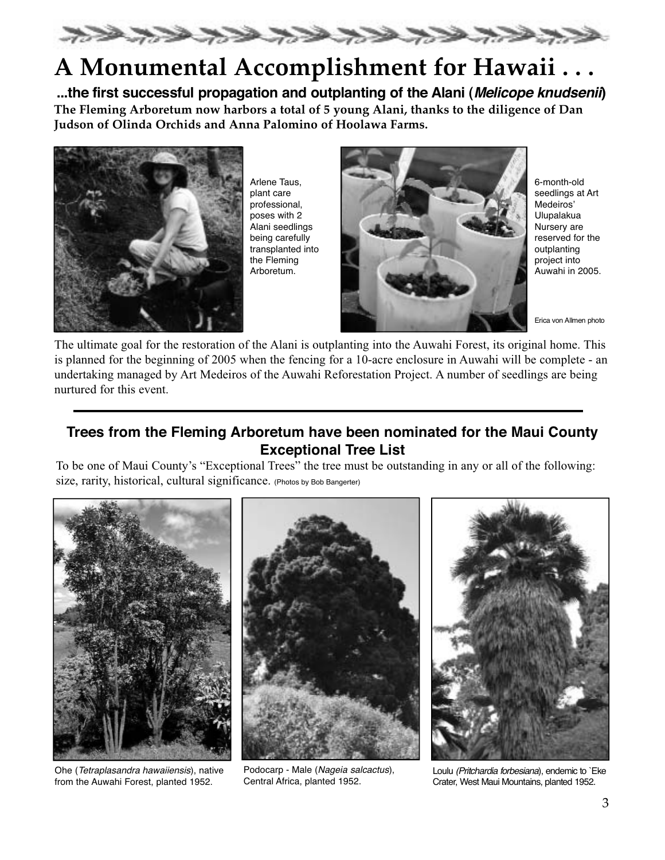

# **A Monumental Accomplishment for Hawaii . . .**

**...the first successful propagation and outplanting of the Alani (Melicope knudsenii) The Fleming Arboretum now harbors a total of 5 young Alani, thanks to the diligence of Dan Judson of Olinda Orchids and Anna Palomino of Hoolawa Farms.**



Arlene Taus, plant care professional, poses with 2 Alani seedlings being carefully transplanted into the Fleming Arboretum.



6-month-old seedlings at Art Medeiros' Ulupalakua Nursery are reserved for the outplanting project into Auwahi in 2005.

Erica von Allmen photo

The ultimate goal for the restoration of the Alani is outplanting into the Auwahi Forest, its original home. This is planned for the beginning of 2005 when the fencing for a 10-acre enclosure in Auwahi will be complete - an undertaking managed by Art Medeiros of the Auwahi Reforestation Project. A number of seedlings are being nurtured for this event.

### **Trees from the Fleming Arboretum have been nominated for the Maui County Exceptional Tree List**

To be one of Maui County's "Exceptional Trees" the tree must be outstanding in any or all of the following: size, rarity, historical, cultural significance. (Photos by Bob Bangerter)



Ohe (Tetraplasandra hawaiiensis), native from the Auwahi Forest, planted 1952.



Podocarp - Male (Nageia salcactus), Central Africa, planted 1952.



Loulu (Pritchardia forbesiana), endemic to `Eke Crater, West Maui Mountains, planted 1952.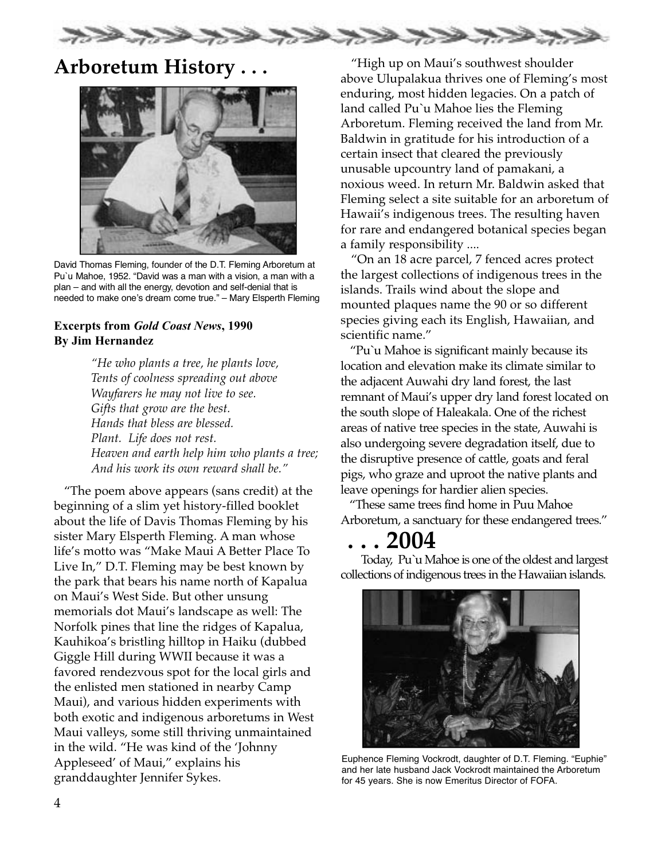

## **Arboretum History . . .**



David Thomas Fleming, founder of the D.T. Fleming Arboretum at Pu`u Mahoe, 1952. "David was a man with a vision, a man with a plan – and with all the energy, devotion and self-denial that is needed to make one's dream come true." – Mary Elsperth Fleming

#### Excerpts from Gold Coast News, 1990 By Jim Hernandez

*"He who plants a tree, he plants love, Tents of coolness spreading out above Wayfarers he may not live to see. Gifts that grow are the best. Hands that bless are blessed. Plant. Life does not rest. Heaven and earth help him who plants a tree; And his work its own reward shall be."*

"The poem above appears (sans credit) at the beginning of a slim yet history-filled booklet about the life of Davis Thomas Fleming by his sister Mary Elsperth Fleming. A man whose life's motto was "Make Maui A Better Place To Live In," D.T. Fleming may be best known by the park that bears his name north of Kapalua on Maui's West Side. But other unsung memorials dot Maui's landscape as well: The Norfolk pines that line the ridges of Kapalua, Kauhikoa's bristling hilltop in Haiku (dubbed Giggle Hill during WWII because it was a favored rendezvous spot for the local girls and the enlisted men stationed in nearby Camp Maui), and various hidden experiments with both exotic and indigenous arboretums in West Maui valleys, some still thriving unmaintained in the wild. "He was kind of the 'Johnny Appleseed' of Maui," explains his granddaughter Jennifer Sykes.

"High up on Maui's southwest shoulder above Ulupalakua thrives one of Fleming's most enduring, most hidden legacies. On a patch of land called Pu`u Mahoe lies the Fleming Arboretum. Fleming received the land from Mr. Baldwin in gratitude for his introduction of a certain insect that cleared the previously unusable upcountry land of pamakani, a noxious weed. In return Mr. Baldwin asked that Fleming select a site suitable for an arboretum of Hawaii's indigenous trees. The resulting haven for rare and endangered botanical species began a family responsibility ....

"On an 18 acre parcel, 7 fenced acres protect the largest collections of indigenous trees in the islands. Trails wind about the slope and mounted plaques name the 90 or so different species giving each its English, Hawaiian, and scientific name."

"Pu`u Mahoe is significant mainly because its location and elevation make its climate similar to the adjacent Auwahi dry land forest, the last remnant of Maui's upper dry land forest located on the south slope of Haleakala. One of the richest areas of native tree species in the state, Auwahi is also undergoing severe degradation itself, due to the disruptive presence of cattle, goats and feral pigs, who graze and uproot the native plants and leave openings for hardier alien species.

"These same trees find home in Puu Mahoe Arboretum, a sanctuary for these endangered trees."

## **. . . 2004**

Today, Pu`u Mahoe is one of the oldest and largest collections of indigenous trees in the Hawaiian islands.



Euphence Fleming Vockrodt, daughter of D.T. Fleming. "Euphie" and her late husband Jack Vockrodt maintained the Arboretum for 45 years. She is now Emeritus Director of FOFA.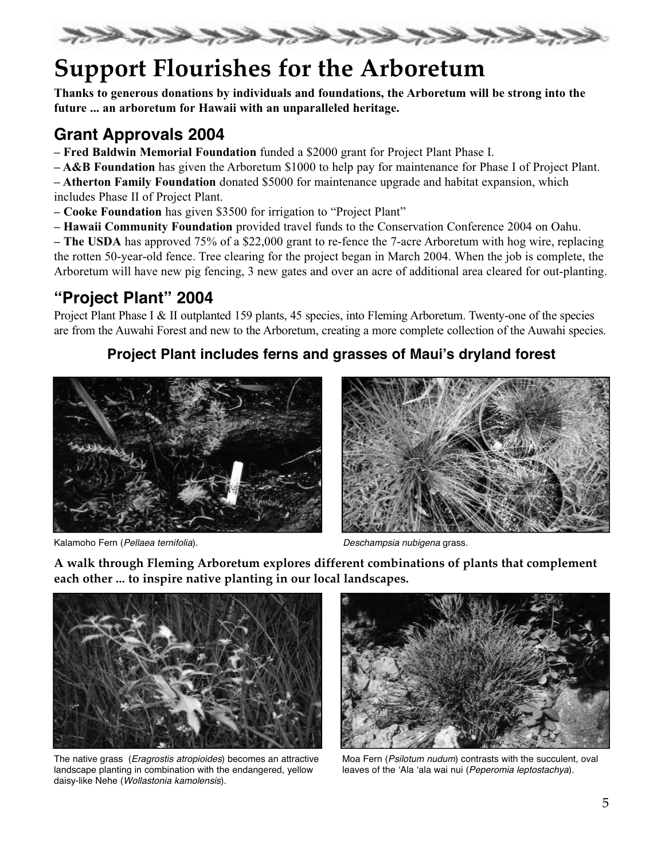

# **Support Flourishes for the Arboretum**

Thanks to generous donations by individuals and foundations, the Arboretum will be strong into the future ... an arboretum for Hawaii with an unparalleled heritage.

## **Grant Approvals 2004**

- Fred Baldwin Memorial Foundation funded a \$2000 grant for Project Plant Phase I.
- A&B Foundation has given the Arboretum \$1000 to help pay for maintenance for Phase I of Project Plant.

– Atherton Family Foundation donated \$5000 for maintenance upgrade and habitat expansion, which includes Phase II of Project Plant.

- Cooke Foundation has given \$3500 for irrigation to "Project Plant"
- Hawaii Community Foundation provided travel funds to the Conservation Conference 2004 on Oahu.

– The USDA has approved 75% of a \$22,000 grant to re-fence the 7-acre Arboretum with hog wire, replacing the rotten 50-year-old fence. Tree clearing for the project began in March 2004. When the job is complete, the Arboretum will have new pig fencing, 3 new gates and over an acre of additional area cleared for out-planting.

## **"Project Plant" 2004**

Project Plant Phase I & II outplanted 159 plants, 45 species, into Fleming Arboretum. Twenty-one of the species are from the Auwahi Forest and new to the Arboretum, creating a more complete collection of the Auwahi species.

### **Project Plant includes ferns and grasses of Maui's dryland forest**



Kalamoho Fern (Pellaea ternifolia). Deschampsia nubigena grass.



**A walk through Fleming Arboretum explores different combinations of plants that complement each other ... to inspire native planting in our local landscapes.**



The native grass (Eragrostis atropioides) becomes an attractive landscape planting in combination with the endangered, yellow daisy-like Nehe (Wollastonia kamolensis).



Moa Fern (Psilotum nudum) contrasts with the succulent, oval leaves of the 'Ala 'ala wai nui (Peperomia leptostachya).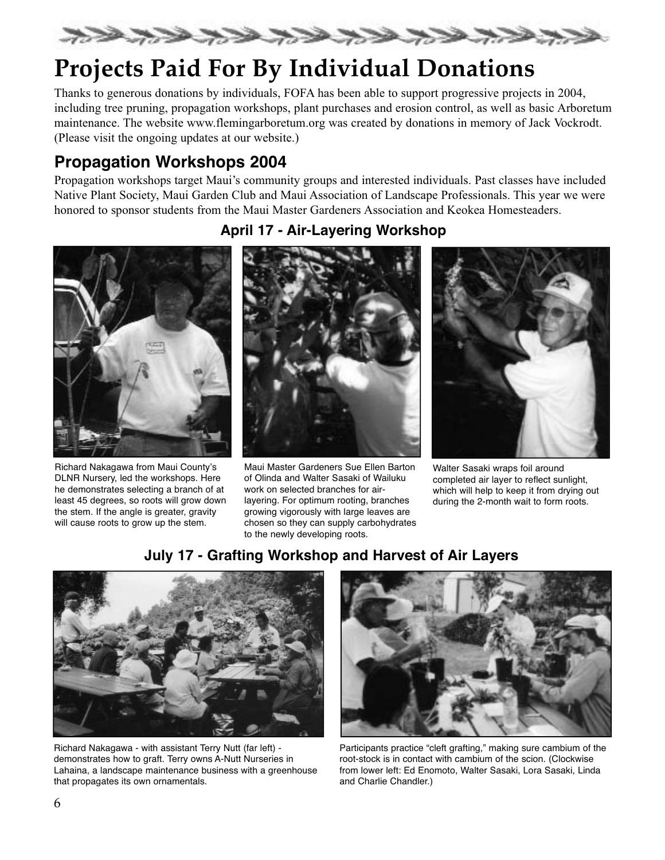

# **Projects Paid For By Individual Donations**

Thanks to generous donations by individuals, FOFA has been able to support progressive projects in 2004, including tree pruning, propagation workshops, plant purchases and erosion control, as well as basic Arboretum maintenance. The website www.flemingarboretum.org was created by donations in memory of Jack Vockrodt. (Please visit the ongoing updates at our website.)

## **Propagation Workshops 2004**

Propagation workshops target Maui's community groups and interested individuals. Past classes have included Native Plant Society, Maui Garden Club and Maui Association of Landscape Professionals. This year we were honored to sponsor students from the Maui Master Gardeners Association and Keokea Homesteaders.



Richard Nakagawa from Maui County's DLNR Nursery, led the workshops. Here he demonstrates selecting a branch of at least 45 degrees, so roots will grow down the stem. If the angle is greater, gravity will cause roots to grow up the stem.

### **April 17 - Air-Layering Workshop**



Maui Master Gardeners Sue Ellen Barton of Olinda and Walter Sasaki of Wailuku work on selected branches for airlayering. For optimum rooting, branches growing vigorously with large leaves are chosen so they can supply carbohydrates to the newly developing roots.



Walter Sasaki wraps foil around completed air layer to reflect sunlight, which will help to keep it from drying out during the 2-month wait to form roots.

## **July 17 - Grafting Workshop and Harvest of Air Layers**



Richard Nakagawa - with assistant Terry Nutt (far left) demonstrates how to graft. Terry owns A-Nutt Nurseries in Lahaina, a landscape maintenance business with a greenhouse that propagates its own ornamentals.



Participants practice "cleft grafting," making sure cambium of the root-stock is in contact with cambium of the scion. (Clockwise from lower left: Ed Enomoto, Walter Sasaki, Lora Sasaki, Linda and Charlie Chandler.)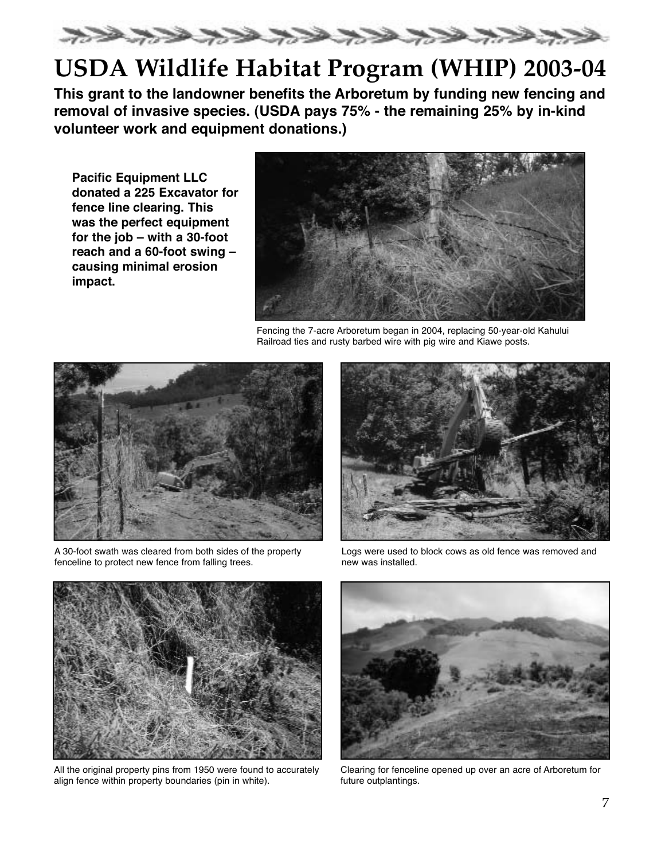

# **USDA Wildlife Habitat Program (WHIP) 2003-04**

**This grant to the landowner benefits the Arboretum by funding new fencing and removal of invasive species. (USDA pays 75% - the remaining 25% by in-kind volunteer work and equipment donations.)**

**Pacific Equipment LLC donated a 225 Excavator for fence line clearing. This was the perfect equipment for the job – with a 30-foot reach and a 60-foot swing – causing minimal erosion impact.**



Fencing the 7-acre Arboretum began in 2004, replacing 50-year-old Kahului Railroad ties and rusty barbed wire with pig wire and Kiawe posts.



A 30-foot swath was cleared from both sides of the property fenceline to protect new fence from falling trees.



Logs were used to block cows as old fence was removed and new was installed.



All the original property pins from 1950 were found to accurately align fence within property boundaries (pin in white).



Clearing for fenceline opened up over an acre of Arboretum for future outplantings.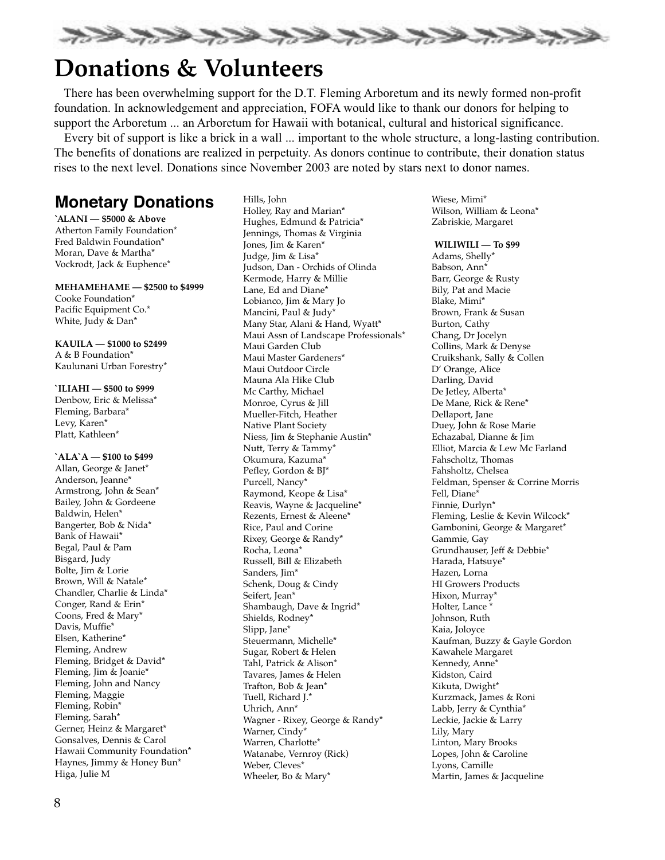

# **Donations & Volunteers**

There has been overwhelming support for the D.T. Fleming Arboretum and its newly formed non-profit foundation. In acknowledgement and appreciation, FOFA would like to thank our donors for helping to support the Arboretum ... an Arboretum for Hawaii with botanical, cultural and historical significance.

Every bit of support is like a brick in a wall ... important to the whole structure, a long-lasting contribution. The benefits of donations are realized in perpetuity. As donors continue to contribute, their donation status rises to the next level. Donations since November 2003 are noted by stars next to donor names.

## **Monetary Donations**

**` ALANI — \$5000 & Above** Atherton Family Foundation\* Fred Baldwin Foundation\* Moran, Dave & Martha\* Vockrodt, Jack & Euphence\*

**MEHAMEHAME — \$2500 to \$4999** Cooke Foundation\* Pacific Equipment Co.\* White, Judy & Dan\*

#### **KAUILA — \$1000 to \$2499** A & B Foundation\*

Kaulunani Urban Forestry\*

#### **`ILIAHI — \$500 to \$999**

Denbow, Eric & Melissa\* Fleming, Barbara\* Levy, Karen\* Platt, Kathleen\*

**`ALA`A — \$100 to \$499** Allan, George & Janet\* Anderson, Jeanne\* Armstrong, John & Sean\* Bailey, John & Gordeene Baldwin, Helen\* Bangerter, Bob & Nida\* Bank of Hawaii\* Begal, Paul & Pam Bisgard, Judy Bolte, Jim & Lorie Brown, Will & Natale\* Chandler, Charlie & Linda\* Conger, Rand & Erin\* Coons, Fred & Mary\* Davis, Muffie\* Elsen, Katherine\* Fleming, Andrew Fleming, Bridget & David\* Fleming, Jim & Joanie\* Fleming, John and Nancy Fleming, Maggie Fleming, Robin\* Fleming, Sarah\* Gerner, Heinz & Margaret\* Gonsalves, Dennis & Carol Hawaii Community Foundation\* Haynes, Jimmy & Honey Bun\* Higa, Julie M

Hills, John Holley, Ray and Marian\* Hughes, Edmund & Patricia\* Jennings, Thomas & Virginia Jones, Jim & Karen\* Judge, Jim & Lisa\* Judson, Dan - Orchids of Olinda Kermode, Harry & Millie Lane, Ed and Diane\* Lobianco, Jim & Mary Jo Mancini, Paul & Judy\* Many Star, Alani & Hand, Wyatt\* Maui Assn of Landscape Professionals\* Maui Garden Club Maui Master Gardeners\* Maui Outdoor Circle Mauna Ala Hike Club Mc Carthy, Michael Monroe, Cyrus & Jill Mueller-Fitch, Heather Native Plant Society Niess, Jim & Stephanie Austin\* Nutt, Terry & Tammy\* Okumura, Kazuma\* Pefley, Gordon & BJ\* Purcell, Nancy\* Raymond, Keope & Lisa\* Reavis, Wayne & Jacqueline\* Rezents, Ernest & Aleene\* Rice, Paul and Corine Rixey, George & Randy\* Rocha, Leona\* Russell, Bill & Elizabeth Sanders, Jim\* Schenk, Doug & Cindy Seifert, Jean\* Shambaugh, Dave & Ingrid\* Shields, Rodney\* Slipp, Jane\* Steuermann, Michelle\* Sugar, Robert & Helen Tahl, Patrick & Alison\* Tavares, James & Helen Trafton, Bob & Jean\* Tuell, Richard J.\* Uhrich, Ann\* Wagner - Rixey, George & Randy\* Warner, Cindy\* Warren, Charlotte\* Watanabe, Vernroy (Rick) Weber, Cleves\* Wheeler, Bo & Mary\*

Wiese, Mimi\* Wilson, William & Leona\* Zabriskie, Margaret

#### **WILIWILI — To \$99**

Adams, Shelly\* Babson, Ann\* Barr, George & Rusty Bily, Pat and Macie Blake, Mimi\* Brown, Frank & Susan Burton, Cathy Chang, Dr Jocelyn Collins, Mark & Denyse Cruikshank, Sally & Collen D' Orange, Alice Darling, David De Jetley, Alberta\* De Mane, Rick & Rene\* Dellaport, Jane Duey, John & Rose Marie Echazabal, Dianne & Jim Elliot, Marcia & Lew Mc Farland Fahscholtz, Thomas Fahsholtz, Chelsea Feldman, Spenser & Corrine Morris Fell, Diane\* Finnie, Durlyn\* Fleming, Leslie & Kevin Wilcock\* Gambonini, George & Margaret\* Gammie, Gay Grundhauser, Jeff & Debbie\* Harada, Hatsuye\* Hazen, Lorna HI Growers Products Hixon, Murray\* Holter, Lance \* Johnson, Ruth Kaia, Joloyce Kaufman, Buzzy & Gayle Gordon Kawahele Margaret Kennedy, Anne\* Kidston, Caird Kikuta, Dwight\* Kurzmack, James & Roni Labb, Jerry & Cynthia\* Leckie, Jackie & Larry Lily, Mary Linton, Mary Brooks Lopes, John & Caroline Lyons, Camille Martin, James & Jacqueline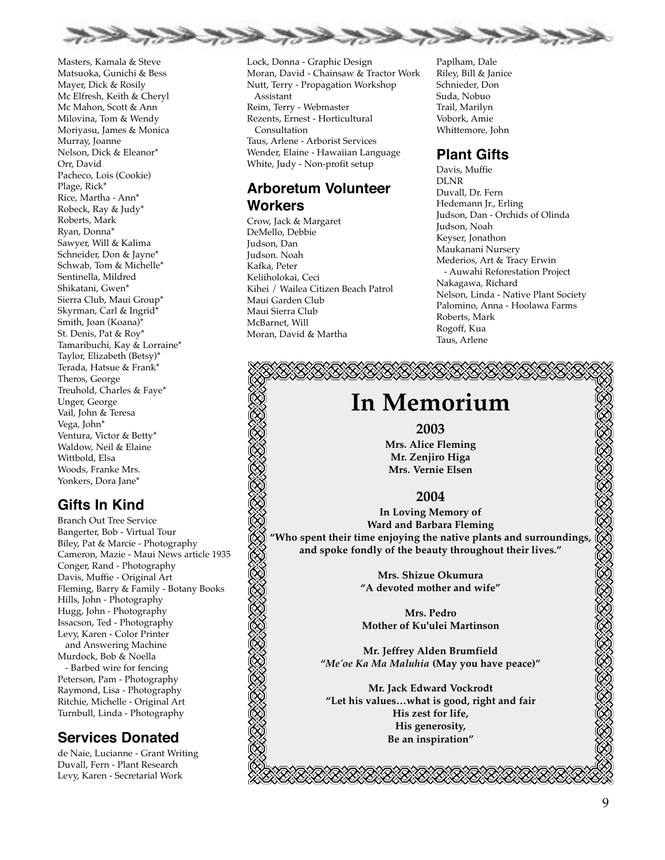

Masters, Kamala & Steve Matsuoka, Gunichi & Bess Mayer, Dick & Rosily Mc Elfresh, Keith & Cheryl Mc Mahon, Scott & Ann Milovina, Tom & Wendy Moriyasu, James & Monica Murray, Joanne Nelson, Dick & Eleanor\* Orr, David Pacheco, Lois (Cookie) Plage, Rick\* Rice, Martha - Ann\* Robeck, Ray & Judy\* Roberts, Mark Ryan, Donna\* Sawyer, Will & Kalima Schneider, Don & Jayne\* Schwab, Tom & Michelle\* Sentinella, Mildred Shikatani, Gwen\* Sierra Club, Maui Group\* Skyrman, Carl & Ingrid\* Smith, Joan (Koana)\* St. Denis, Pat & Roy\* Tamaribuchi, Kay & Lorraine\* Taylor, Elizabeth (Betsy)\* Terada, Hatsue & Frank\* Theros, George Treuhold, Charles & Faye\* Unger, George Vail, John & Teresa Vega, John\* Ventura, Victor & Betty\* Waldow, Neil & Elaine Wittbold, Elsa Woods, Franke Mrs. Yonkers, Dora Jane\*

### **Gifts In Kind**

Branch Out Tree Service Bangerter, Bob - Virtual Tour Biley, Pat & Marcie - Photography Cameron, Mazie - Maui News article 1935 Conger, Rand - Photography Davis, Muffie - Original Art Fleming, Barry & Family - Botany Books Hills, John - Photography Hugg, John - Photography Issacson, Ted - Photography Levy, Karen - Color Printer and Answering Machine Murdock, Bob & Noella - Barbed wire for fencing Peterson, Pam - Photography Raymond, Lisa - Photography

Ritchie, Michelle - Original Art Turnbull, Linda - Photography

### **Services Donated**

de Naie, Lucianne - Grant Writing Duvall, Fern - Plant Research Levy, Karen - Secretarial Work

Lock, Donna - Graphic Design Moran, David - Chainsaw & Tractor Work Nutt, Terry - Propagation Workshop Assistant Reim, Terry - Webmaster Rezents, Ernest - Horticultural **Consultation** Taus, Arlene - Arborist Services Wender, Elaine - Hawaiian Language White, Judy - Non-profit setup

### **Arboretum Volunteer Workers**

Crow, Jack & Margaret DeMello, Debbie Judson, Dan Judson. Noah Kafka, Peter Keliiholokai, Ceci Kihei / Wailea Citizen Beach Patrol Maui Garden Club Maui Sierra Club McBarnet, Will Moran, David & Martha

Paplham, Dale Riley, Bill & Janice Schnieder, Don Suda, Nobuo Trail, Marilyn Vobork, Amie Whittemore, John

### **Plant Gifts**

Davis, Muffie DLNR Duvall, Dr. Fern Hedemann Jr., Erling Judson, Dan - Orchids of Olinda Judson, Noah Keyser, Jonathon Maukanani Nursery Mederios, Art & Tracy Erwin - Auwahi Reforestation Project Nakagawa, Richard Nelson, Linda - Native Plant Society Palomino, Anna - Hoolawa Farms Roberts, Mark Rogoff, Kua Taus, Arlene

## **In Memorium**

#### **2003**

**Mrs. Alice Fleming Mr. Zenjiro Higa Mrs. Vernie Elsen**

#### **2004**

**In Loving Memory of Ward and Barbara Fleming "Who spent their time enjoying the native plants and surroundings, and spoke fondly of the beauty throughout their lives."**

> **Mrs. Shizue Okumura "A devoted mother and wife"**

**Mrs. Pedro Mother of Ku'ulei Martinson**

**Mr. Jeffrey Alden Brumfield "***Me'oe Ka Ma Maluhia* **(May you have peace)"**

**Mr. Jack Edward Vockrodt "Let his values…what is good, right and fair His zest for life, His generosity, Be an inspiration"**

EBBERIKA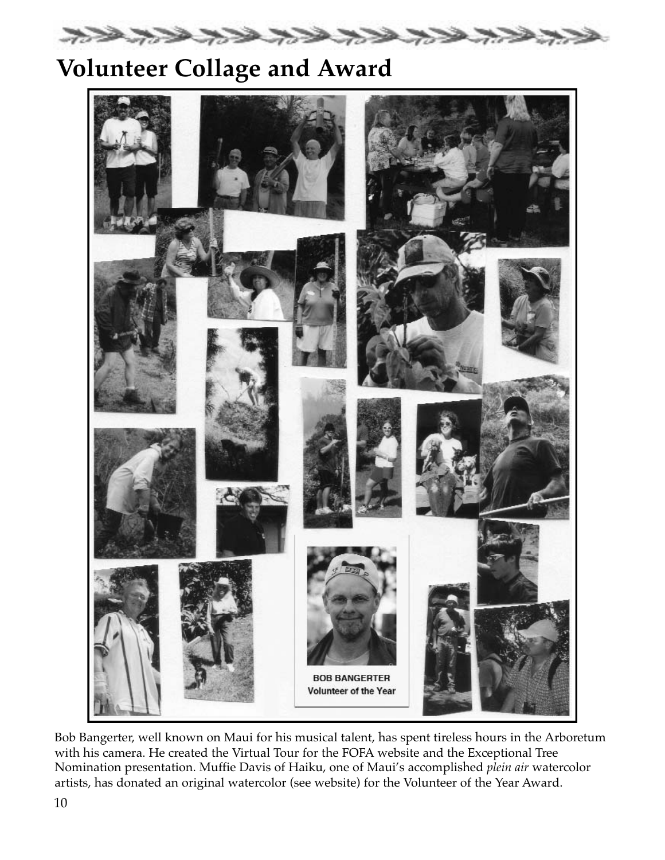

# **Volunteer Collage and Award**



Bob Bangerter, well known on Maui for his musical talent, has spent tireless hours in the Arboretum with his camera. He created the Virtual Tour for the FOFA website and the Exceptional Tree Nomination presentation. Muffie Davis of Haiku, one of Maui's accomplished *plein air* watercolor artists, has donated an original watercolor (see website) for the Volunteer of the Year Award.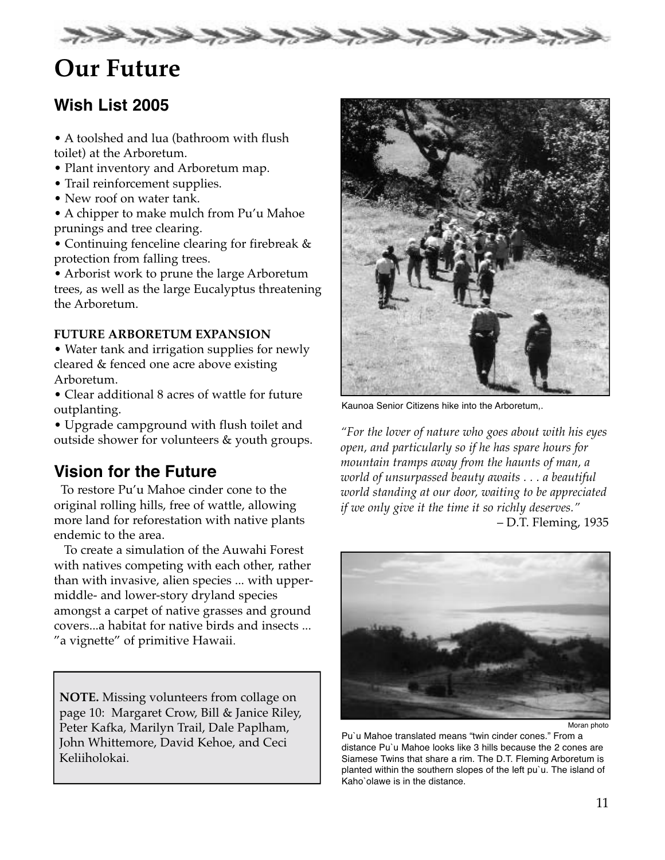

# **Our Future**

## **Wish List 2005**

• A toolshed and lua (bathroom with flush toilet) at the Arboretum.

- Plant inventory and Arboretum map.
- Trail reinforcement supplies.
- New roof on water tank.
- A chipper to make mulch from Pu'u Mahoe prunings and tree clearing.

• Continuing fenceline clearing for firebreak & protection from falling trees.

• Arborist work to prune the large Arboretum trees, as well as the large Eucalyptus threatening the Arboretum.

#### **FUTURE ARBORETUM EXPANSION**

• Water tank and irrigation supplies for newly cleared & fenced one acre above existing Arboretum.

• Clear additional 8 acres of wattle for future outplanting.

• Upgrade campground with flush toilet and outside shower for volunteers & youth groups.

## **Vision for the Future**

To restore Pu'u Mahoe cinder cone to the original rolling hills, free of wattle, allowing more land for reforestation with native plants endemic to the area.

To create a simulation of the Auwahi Forest with natives competing with each other, rather than with invasive, alien species ... with uppermiddle- and lower-story dryland species amongst a carpet of native grasses and ground covers...a habitat for native birds and insects ... "a vignette" of primitive Hawaii.

**NOTE.** Missing volunteers from collage on page 10: Margaret Crow, Bill & Janice Riley, Peter Kafka, Marilyn Trail, Dale Paplham, John Whittemore, David Kehoe, and Ceci Keliiholokai.



Kaunoa Senior Citizens hike into the Arboretum,.

*"For the lover of nature who goes about with his eyes open, and particularly so if he has spare hours for mountain tramps away from the haunts of man, a world of unsurpassed beauty awaits ...a beautiful world standing at our door, waiting to be appreciated if we only give it the time it so richly deserves."* – D.T. Fleming, 1935



Moran photo

Pu`u Mahoe translated means "twin cinder cones." From a distance Pu`u Mahoe looks like 3 hills because the 2 cones are Siamese Twins that share a rim. The D.T. Fleming Arboretum is planted within the southern slopes of the left pu`u. The island of Kaho`olawe is in the distance.